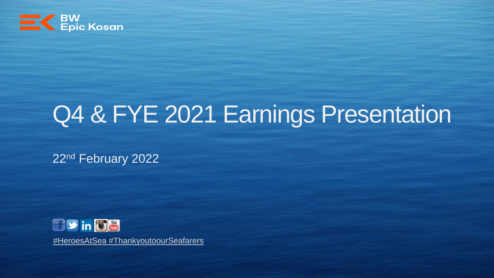

# Q4 & FYE 2021 Earnings Presentation

22nd February 2022



[#HeroesAtSea #](https://www.ics-shipping.org/free-resources/covid-19)[ThankyoutoourSeafarer](https://www.youtube.com/watch?v=d9ETd21Olvo)[s](https://www.ics-shipping.org/free-resources/covid-19)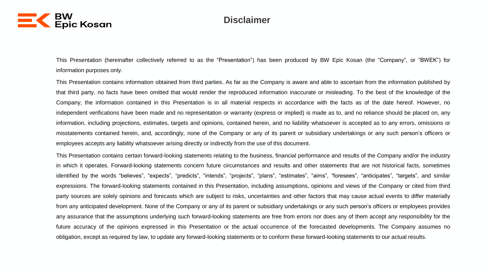

#### **Disclaimer**

This Presentation (hereinafter collectively referred to as the "Presentation") has been produced by BW Epic Kosan (the "Company", or "BWEK") for information purposes only.

This Presentation contains information obtained from third parties. As far as the Company is aware and able to ascertain from the information published by that third party, no facts have been omitted that would render the reproduced information inaccurate or misleading. To the best of the knowledge of the Company, the information contained in this Presentation is in all material respects in accordance with the facts as of the date hereof. However, no independent verifications have been made and no representation or warranty (express or implied) is made as to, and no reliance should be placed on, any information, including projections, estimates, targets and opinions, contained herein, and no liability whatsoever is accepted as to any errors, omissions or misstatements contained herein, and, accordingly, none of the Company or any of its parent or subsidiary undertakings or any such person's officers or employees accepts any liability whatsoever arising directly or indirectly from the use of this document.

This Presentation contains certain forward-looking statements relating to the business, financial performance and results of the Company and/or the industry in which it operates. Forward-looking statements concern future circumstances and results and other statements that are not historical facts, sometimes identified by the words "believes", "expects", "predicts", "intends", "projects", "plans", "estimates", "aims", "foresees", "anticipates", "targets", and similar expressions. The forward-looking statements contained in this Presentation, including assumptions, opinions and views of the Company or cited from third party sources are solely opinions and forecasts which are subject to risks, uncertainties and other factors that may cause actual events to differ materially from any anticipated development. None of the Company or any of its parent or subsidiary undertakings or any such person's officers or employees provides any assurance that the assumptions underlying such forward-looking statements are free from errors nor does any of them accept any responsibility for the future accuracy of the opinions expressed in this Presentation or the actual occurrence of the forecasted developments. The Company assumes no obligation, except as required by law, to update any forward-looking statements or to conform these forward-looking statements to our actual results.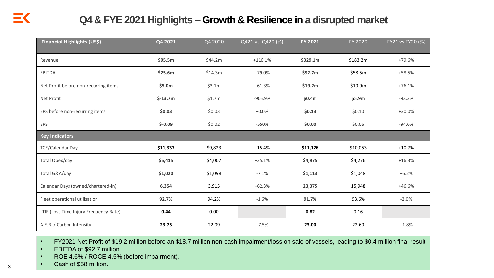### **Q4 & FYE 2021 Highlights – Growth & Resilience in a disrupted market**

| Financial Highlights (US\$)            | Q4 2021   | Q4 2020 | Q421 vs Q420 (%) | FY 2021  | FY 2020  | FY21 vs FY20 (%) |
|----------------------------------------|-----------|---------|------------------|----------|----------|------------------|
| Revenue                                | \$95.5m   | \$44.2m | $+116.1%$        | \$329.1m | \$183.2m | +79.6%           |
| <b>EBITDA</b>                          | \$25.6m   | \$14.3m | +79.0%           | \$92.7m  | \$58.5m  | $+58.5%$         |
| Net Profit before non-recurring items  | \$5.0m    | \$3.1m  | $+61.3%$         | \$19.2m  | \$10.9m  | $+76.1%$         |
| Net Profit                             | $$-13.7m$ | \$1.7m  | -905.9%          | \$0.4m   | \$5.9m   | $-93.2%$         |
| EPS before non-recurring items         | \$0.03\$  | \$0.03  | $+0.0%$          | \$0.13   | \$0.10   | +30.0%           |
| EPS                                    | $$-0.09$  | \$0.02  | -550%            | \$0.00   | \$0.06   | $-94.6%$         |
| <b>Key Indicators</b>                  |           |         |                  |          |          |                  |
| <b>TCE/Calendar Day</b>                | \$11,337  | \$9,823 | $+15.4%$         | \$11,126 | \$10,053 | $+10.7%$         |
| Total Opex/day                         | \$5,415   | \$4,007 | $+35.1%$         | \$4,975  | \$4,276  | $+16.3%$         |
| Total G&A/day                          | \$1,020   | \$1,098 | $-7.1%$          | \$1,113  | \$1,048  | $+6.2%$          |
| Calendar Days (owned/chartered-in)     | 6,354     | 3,915   | $+62.3%$         | 23,375   | 15,948   | +46.6%           |
| Fleet operational utilisation          | 92.7%     | 94.2%   | $-1.6%$          | 91.7%    | 93.6%    | $-2.0%$          |
| LTIF (Lost-Time Injury Frequency Rate) | 0.44      | 0.00    |                  | 0.82     | 0.16     |                  |
| A.E.R. / Carbon Intensity              | 23.75     | 22.09   | $+7.5%$          | 23.00    | 22.60    | $+1.8%$          |

■ FY2021 Net Profit of \$19.2 million before an \$18.7 million non-cash impairment/loss on sale of vessels, leading to \$0.4 million final result

- **EBITDA of \$92.7 million**
- ROE 4.6% / ROCE 4.5% (before impairment).
- Cash of \$58 million.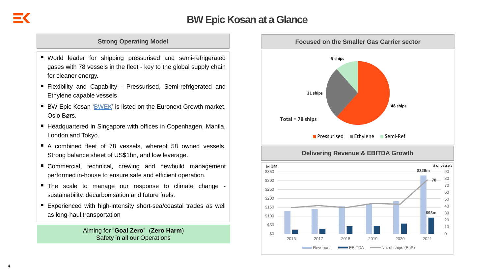#### **Strong Operating Model**

- World leader for shipping pressurised and semi-refrigerated gases with 78 vessels in the fleet - key to the global supply chain for cleaner energy.
- Flexibility and Capability Pressurised, Semi-refrigerated and Ethylene capable vessels
- BW Epic Kosan ['BWEK'](https://live.euronext.com/en/product/equities/SGXZ80461361-MERK) is listed on the Euronext Growth market, Oslo Børs.
- Headquartered in Singapore with offices in Copenhagen, Manila, London and Tokyo.
- A combined fleet of 78 vessels, whereof 58 owned vessels. Strong balance sheet of US\$1bn, and low leverage.
- Commercial, technical, crewing and newbuild management performed in-house to ensure safe and efficient operation.
- The scale to manage our response to climate change sustainability, decarbonisation and future fuels.
- Experienced with high-intensity short-sea/coastal trades as well as long-haul transportation

Aiming for "**Goal Zero**" (**Zero Harm**) Safety in all our Operations

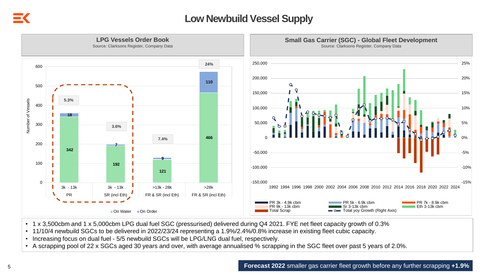### **Low Newbuild Vessel Supply**



- 1 x 3,500cbm and 1 x 5,000cbm LPG dual fuel SGC (pressurised) delivered during Q4 2021. FYE net fleet capacity growth of 0.3%
- 11/10/4 newbuild SGCs to be delivered in 2022/23/24 representing a 1.9%/2.4%/0.8% increase in existing fleet cubic capacity.
- Increasing focus on dual fuel 5/5 newbuild SGCs will be LPG/LNG dual fuel, respectively.
- A scrapping pool of 22 x SGCs aged 30 years and over, with average annualised % scrapping in the SGC fleet over past 5 years of 2.0%.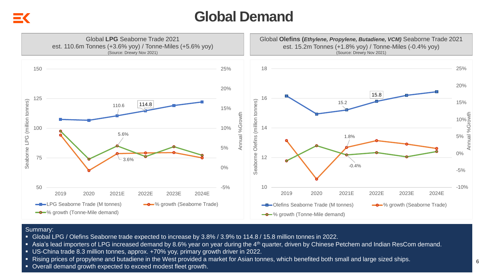## **Global Demand**



#### Summary:

- Global LPG / Olefins Seaborne trade expected to increase by 3.8% / 3.9% to 114.8 / 15.8 million tonnes in 2022.
- Asia's lead importers of LPG increased demand by 8.6% year on year during the 4<sup>th</sup> quarter, driven by Chinese Petchem and Indian ResCom demand.
- US-China trade 8.3 million tonnes, approx. +70% yoy, primary growth driver in 2022.
- Rising prices of propylene and butadiene in the West provided a market for Asian tonnes, which benefited both small and large sized ships.
- Overall demand growth expected to exceed modest fleet growth.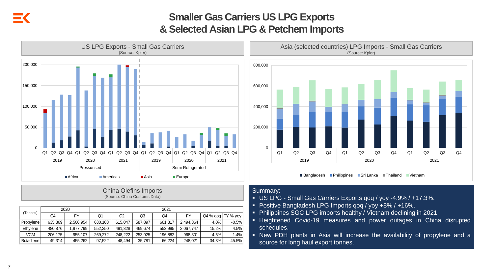### **Smaller Gas Carriers US LPG Exports & Selected Asian LPG & Petchem Imports**



#### China Olefins Imports (Source: China Customs Data)

| (Tonnes)         |         | 2020      | 2021    |         |         |         |           |                   |          |  |  |  |
|------------------|---------|-----------|---------|---------|---------|---------|-----------|-------------------|----------|--|--|--|
|                  | Q4      | FY        | Q1      | Q2      | Q3      | Q4      | FY        | Q4 % qoq FY % yoy |          |  |  |  |
| Propylene        | 635.869 | 2.506.954 | 630.103 | 615.047 | 587.897 | 661.317 | 2.494.364 | 4.0%              | $-0.5%$  |  |  |  |
| Ethylene         | 480.876 | 1.977.799 | 552,250 | 491.828 | 469.674 | 553.995 | 2.067.747 | 15.2%             | 4.5%     |  |  |  |
| VCM              | 206.175 | 955.107   | 269.272 | 248.222 | 253.925 | 196.882 | 968.301   | $-4.5%$           | 1.4%     |  |  |  |
| <b>Butadiene</b> | 49.314  | 455,262   | 97,522  | 48.494  | 35,781  | 66.224  | 248.021   | 34.3%             | $-45.5%$ |  |  |  |

Asia (selected countries) LPG Imports - Small Gas Carriers (Source: Kpler)



- Summary:
- US LPG Small Gas Carriers Exports qoq / yoy -4.9% / +17.3%.
- Positive Bangladesh LPG Imports qoq / yoy +8% / +16%.
- Philippines SGC LPG imports healthy / Vietnam declining in 2021.
- **EXTENCIEE** Heightened Covid-19 measures and power outages in China disrupted schedules.

■Bangladesh ■Philippines ■Sri Lanka ■Thailand ■Vietnam

▪ New PDH plants in Asia will increase the availability of propylene and a source for long haul export tonnes.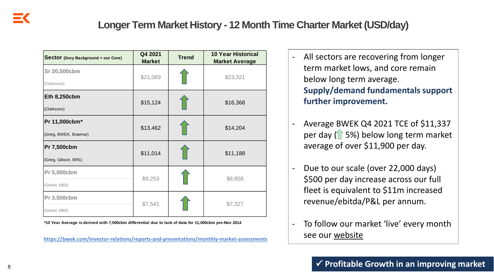### **Longer Term Market History - 12 Month Time Charter Market (USD/day)**

| <b>Sector</b> (Grey Background = our Core) | Q4 2021<br><b>Market</b> | <b>Trend</b> | <b>10 Year Historical</b><br><b>Market Average</b> |  |  |
|--------------------------------------------|--------------------------|--------------|----------------------------------------------------|--|--|
| Sr 20,500cbm                               | \$21,069                 |              | \$23,321                                           |  |  |
| (Clarksons)                                |                          |              |                                                    |  |  |
| <b>Eth 8,250cbm</b>                        |                          |              |                                                    |  |  |
| (Clarksons)                                | \$15,124                 |              | \$16,368                                           |  |  |
| Pr 11,000cbm*                              | \$13,462                 |              | \$14,204                                           |  |  |
| (Grieg, BWEK, Braemar)                     |                          |              |                                                    |  |  |
| Pr 7,500cbm                                | \$11,014                 |              |                                                    |  |  |
| (Grieg, Gibson, BRS)                       |                          |              | \$11,188                                           |  |  |
| Pr 5,000cbm                                |                          |              |                                                    |  |  |
| (Steem 1960)                               | \$9,253                  |              | \$8,858                                            |  |  |
| Pr 3,500cbm                                |                          |              |                                                    |  |  |
| (Steem 1960)                               | \$7,541                  |              | \$7,327                                            |  |  |

**\*10 Year Average is derived with 7,500cbm differential due to lack of data for 11,000cbm pre-Nov 2014**

**<https://bwek.com/investor-relations/reports-and-presentations/monthly-market-assessments>**

- All sectors are recovering from longer term market lows, and core remain below long term average. **Supply/demand fundamentals support further improvement.**
- Average BWEK Q4 2021 TCE of \$11,337 per day ( $\uparrow$  5%) below long term market average of over \$11,900 per day.
- Due to our scale (over 22,000 days) \$500 per day increase across our full fleet is equivalent to \$11m increased revenue/ebitda/P&L per annum.
- To follow our market 'live' every month see our [website](https://bwek.com/investor-relations/reports-and-presentations/monthly-market-assessments)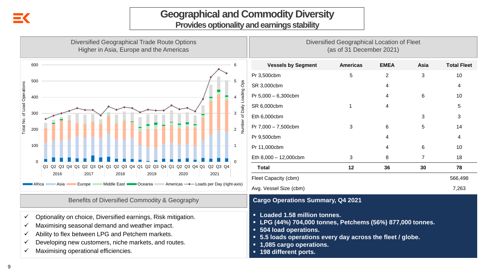# **Geographical and Commodity Diversity**

**Provides optionality and earnings stability**

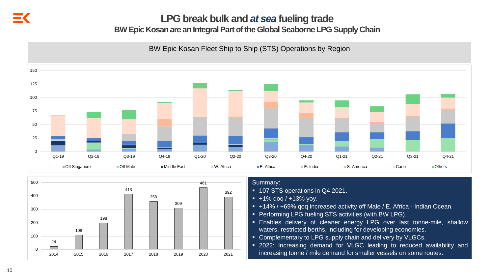### **LPG break bulk and** *at sea* **fueling trade**

**BW Epic Kosan are an Integral Part of the Global Seaborne LPG Supply Chain**

BW Epic Kosan Fleet Ship to Ship (STS) Operations by Region



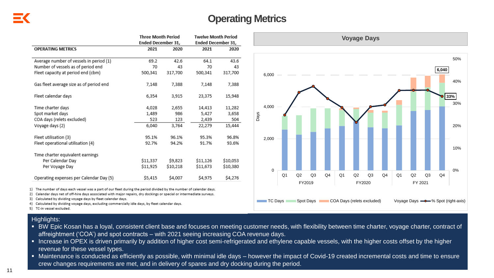### **Operating Metrics**

|                                         | <b>Three Month Period</b> |          | <b>Twelve Month Period</b> |          |  |  |
|-----------------------------------------|---------------------------|----------|----------------------------|----------|--|--|
|                                         | Ended December 31,        |          | Ended December 31,         |          |  |  |
| <b>OPERATING METRICS</b>                | 2021<br>2020              |          | 2021                       | 2020     |  |  |
|                                         |                           |          |                            |          |  |  |
| Average number of vessels in period (1) | 69.2                      | 42.6     | 64.1                       | 43.6     |  |  |
| Number of vessels as of period end      | 70                        | 43       | 70                         | 43       |  |  |
| Fleet capacity at period end (cbm)      | 500,341                   | 317,700  | 500,341                    | 317,700  |  |  |
| Gas fleet average size as of period end | 7,148                     | 7,388    | 7,148                      | 7,388    |  |  |
| Fleet calendar days                     | 6,354                     | 3,915    | 23,375                     | 15,948   |  |  |
| Time charter days                       | 4,028                     | 2,655    | 14,413                     | 11,282   |  |  |
| Spot market days                        | 1,489                     | 986      | 5,427                      | 3,658    |  |  |
| COA days (relets excluded)              | 523                       | 123      | 2,439                      | 504      |  |  |
| Voyage days (2)                         | 6,040                     | 3,764    | 22,279                     | 15,444   |  |  |
| Fleet utilisation (3)                   | 95.1%                     | 96.1%    | 95.3%                      | 96.8%    |  |  |
| Fleet operational utilisation (4)       | 92.7%                     | 94.2%    | 91.7%                      | 93.6%    |  |  |
| Time charter equivalent earnings        |                           |          |                            |          |  |  |
| Per Calendar Day                        | \$11,337                  | \$9,823  | \$11,126                   | \$10,053 |  |  |
| Per Voyage Day                          | \$11,925                  | \$10,218 | \$11,673                   | \$10,380 |  |  |
| Operating expenses per Calendar Day (5) | \$5,415                   | \$4,007  | \$4,975                    | \$4,276  |  |  |



2) Calendar days net of off-hire days associated with major repairs, dry dockings or special or intermediate surveys.

3) Calculated by dividing voyage days by fleet calendar days.

4) Calculated by dividing voyage days, excluding commercially idle days, by fleet calendar days.



#### Highlights:

- BW Epic Kosan has a loyal, consistent client base and focuses on meeting customer needs, with flexibility between time charter, voyage charter, contract of affreightment ('COA') and spot contracts – with 2021 seeing increasing COA revenue days.
- Increase in OPEX is driven primarily by addition of higher cost semi-refrigerated and ethylene capable vessels, with the higher costs offset by the higher revenue for these vessel types.
- Maintenance is conducted as efficiently as possible, with minimal idle days however the impact of Covid-19 created incremental costs and time to ensure crew changes requirements are met, and in delivery of spares and dry docking during the period.

<sup>5)</sup> TC-in vessel excluded.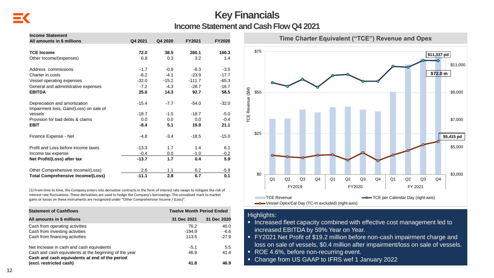#### **Key Financials Income Statement and Cash Flow Q4 2021**

| <b>Income Statement</b><br>All amounts in \$ millions                    | Q4 2021 | Q4 2020 | FY2021   | <b>FY2020</b> |
|--------------------------------------------------------------------------|---------|---------|----------|---------------|
|                                                                          |         |         |          |               |
| <b>TCE Income</b>                                                        | 72.0    | 38.5    | 260.1    | 160.3         |
| Other Income/(expenses)                                                  | 0.8     | 0.3     | 3.2      | 1.4           |
| Address commissions                                                      | $-1.7$  | $-0.8$  | $-6.3$   | $-3.5$        |
| Charter in costs                                                         | $-6.2$  | $-4.1$  | $-23.9$  | $-17.7$       |
| Vessel operating expenses                                                | $-32.0$ | $-15.2$ | $-111.7$ | $-65.3$       |
| General and administrative expenses                                      | $-7.2$  | $-4.3$  | $-28.7$  | $-16.7$       |
| <b>EBITDA</b>                                                            | 25.6    | 14.3    | 92.7     | 58.5          |
| Depreciation and amortization<br>Impairment loss, Gain/(Loss) on sale of | $-15.4$ | $-7.7$  | $-54.0$  | $-32.0$       |
| vessels                                                                  | $-18.7$ | $-1.5$  | $-18.7$  | $-5.0$        |
| Provision for bad debts & claims                                         | 0.0     | 0.0     | 0.0      | $-0.4$        |
| <b>EBIT</b>                                                              | $-8.4$  | 5.1     | 19.9     | 21.1          |
| Finance Expense - Net                                                    | $-4.8$  | $-3.4$  | $-18.5$  | $-15.0$       |
| Profit and Loss before income taxes                                      | $-13.3$ | 1.7     | 1.4      | 6.1           |
| Income tax expense                                                       | $-0.4$  | 0.0     | $-1.0$   | $-0.2$        |
| Net Profit/(Loss) after tax                                              | $-13.7$ | 1.7     | 0.4      | 5.9           |
| Other Comprehensive Income/(Loss)                                        | 2.6     | 1.1     | 6.2      | $-5.9$        |
| <b>Total Comprehensive Income/(Loss)</b>                                 | $-11.1$ | 2.8     | 6.7      | 0.1           |

(1) From time to time, the Company enters into derivative contracts in the form of interest rate swaps to mitigate the risk of interest rate fluctuations. These derivatives are used to hedge the Company's borrowings. The unrealised mark to market gains or losses on these instruments are recognized under "Other Comprehensive Income / (Loss)".

| <b>Statement of Cashflows</b>                          | <b>Twelve Month Period Ended</b> |             |
|--------------------------------------------------------|----------------------------------|-------------|
| All amounts in \$ millions                             | 31 Dec 2021                      | 31 Dec 2020 |
| Cash from operating activities                         | 76.2                             | 40.0        |
| Cash from investing activities                         | $-194.9$                         | $-6.6$      |
| Cash from financing activities                         | 113.5                            | $-27.9$     |
| Net Increase in cash and cash equivalents              | $-5.1$                           | 5.5         |
| Cash and cash equivalents at the beginning of the year | 46.9                             | 41.4        |
| Cash and cash equivalents at end of the period         |                                  |             |
| (excl. restricted cash)                                | 41.8                             | 46.9        |



#### Highlights:

- Increased fleet capacity combined with effective cost management led to increased EBITDA by 59% Year on Year.
- FY2021 Net Profit of \$19.2 million before non-cash impairment charge and loss on sale of vessels, \$0.4 million after impairment/loss on sale of vessels.
- ROE 4.6%, before non-recurring event.
- Change from US GAAP to IFRS wef 1 January 2022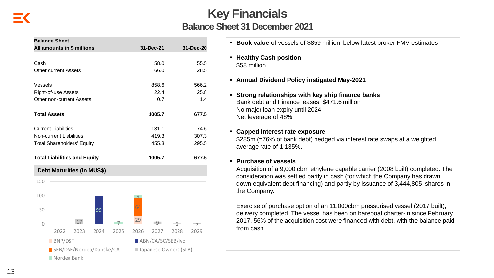| <b>Key Financials</b>                 |
|---------------------------------------|
| <b>Balance Sheet 31 December 2021</b> |

| All amounts in \$ millions          | 31-Dec-21         | 31-Dec-20             |
|-------------------------------------|-------------------|-----------------------|
|                                     |                   |                       |
| Cash                                | 58.0              | 55.5                  |
| <b>Other current Assets</b>         | 66.0              | 28.5                  |
| Vessels                             | 858.6             | 566.2                 |
| Right-of-use Assets                 | 22.4              | 25.8                  |
| Other non-current Assets            | 0.7               | 1.4                   |
| <b>Total Assets</b>                 | 1005.7            | 677.5                 |
| <b>Current Liabilities</b>          | 131.1             | 74.6                  |
| <b>Non-current Liabilities</b>      | 419.3             | 307.3                 |
| <b>Total Shareholders' Equity</b>   | 455.3             | 295.5                 |
| <b>Total Liabilities and Equity</b> | 1005.7            | 677.5                 |
| <b>Debt Maturities (in MUS\$)</b>   |                   |                       |
|                                     |                   |                       |
| 150                                 |                   |                       |
|                                     |                   |                       |
| 100                                 | <u>g</u>          |                       |
|                                     | 64                |                       |
| 50<br>99                            |                   |                       |
| 17<br>-7<br>$\mathbf 0$             | 29<br>-9          | $\mathcal{P}$<br>$-5$ |
| 2022<br>2023<br>2024<br>2025        | 2026<br>2027      | 2028<br>2029          |
| $\blacksquare$ BNP/DSF              | ABN/CA/SC/SEB/Iyo |                       |

- **Book value** of vessels of \$859 million, below latest broker FMV estimates
- **Healthy Cash position** \$58 million
- **Annual Dividend Policy instigated May-2021**
- **Strong relationships with key ship finance banks**  Bank debt and Finance leases: \$471.6 million No major loan expiry until 2024 Net leverage of 48%

### ▪ **Capped Interest rate exposure**

\$285m (=76% of bank debt) hedged via interest rate swaps at a weighted average rate of 1.135%.

#### ▪ **Purchase of vessels**

Acquisition of a 9,000 cbm ethylene capable carrier (2008 built) completed. The consideration was settled partly in cash (for which the Company has drawn down equivalent debt financing) and partly by issuance of 3,444,805 shares in the Company.

Exercise of purchase option of an 11,000cbm pressurised vessel (2017 built), delivery completed. The vessel has been on bareboat charter-in since February 2017. 56% of the acquisition cost were financed with debt, with the balance paid from cash.

Nordea Bank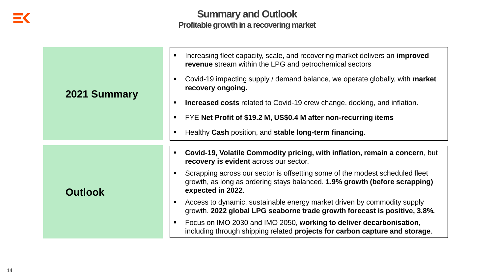#### **Summary and Outlook Profitable growth in a recovering market**

|                | Increasing fleet capacity, scale, and recovering market delivers an <b>improved</b><br>revenue stream within the LPG and petrochemical sectors                                  |
|----------------|---------------------------------------------------------------------------------------------------------------------------------------------------------------------------------|
| 2021 Summary   | Covid-19 impacting supply / demand balance, we operate globally, with <b>market</b><br>recovery ongoing.                                                                        |
|                | <b>Increased costs related to Covid-19 crew change, docking, and inflation.</b>                                                                                                 |
|                | FYE Net Profit of \$19.2 M, US\$0.4 M after non-recurring items                                                                                                                 |
|                | Healthy Cash position, and stable long-term financing.                                                                                                                          |
|                | Covid-19, Volatile Commodity pricing, with inflation, remain a concern, but<br>recovery is evident across our sector.                                                           |
| <b>Outlook</b> | Scrapping across our sector is offsetting some of the modest scheduled fleet<br>growth, as long as ordering stays balanced. 1.9% growth (before scrapping)<br>expected in 2022. |
|                | Access to dynamic, sustainable energy market driven by commodity supply<br>growth. 2022 global LPG seaborne trade growth forecast is positive, 3.8%.                            |
|                | Focus on IMO 2030 and IMO 2050, working to deliver decarbonisation,<br>including through shipping related projects for carbon capture and storage.                              |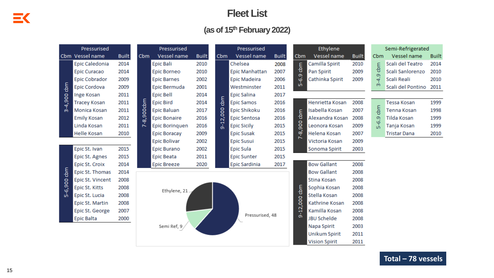#### **Fleet List**

#### **(as of 15th February 2022)**

|             | Pressurised            |              |            | Pressurised           |              | Pressurised   |                       |              | Ethylene       |                       | Semi-Refrigerated |               |                     |              |
|-------------|------------------------|--------------|------------|-----------------------|--------------|---------------|-----------------------|--------------|----------------|-----------------------|-------------------|---------------|---------------------|--------------|
|             | Cbm Vessel name        | <b>Built</b> | Cbm        | Vessel name           | <b>Built</b> | <b>Cbm</b>    | Vessel name           | <b>Built</b> | Cbm            | Vessel name           | <b>Built</b>      | Cbm           | Vessel name         | <b>Built</b> |
|             | Epic Caledonia         | 2014         |            | <b>Epic Bali</b>      | 2010         |               | Chelsea               | 2008         | dom            | Camilla Spirit        | 2010              | ε             | Scali del Teatro    | 2014         |
|             | Epic Curacao           | 2014         |            | Epic Borneo           | 2010         |               | <b>Epic Manhattan</b> | 2007         |                | Pan Spirit            | 2009              | 용             | Scali Sanlorenzo    | 2010         |
|             | Epic Cobrador          | 2009         |            | <b>Epic Barnes</b>    | 2002         |               | Epic Madeira          | 2006         | ဒို့           | Cathinka Spirit       | 2009              | $-4.9$        | Scali Reali         | 2010         |
| dem         | Epic Cordova           | 2009         |            | Epic Bermuda          | 2001         |               | Westminster           | 2011         | w              |                       |                   | ന             | Scali del Pontino   | 2011         |
|             | Inge Kosan             | 2011         |            | <b>Epic Bell</b>      | 2014         |               | Epic Salina           | 2017         |                |                       |                   |               |                     |              |
| $3 - 4,900$ | <b>Tracey Kosan</b>    | 2011         |            | <b>Epic Bird</b>      | 2014         | $rac{E}{2}$   | <b>Epic Samos</b>     | 2016         |                | Henrietta Kosan       | 2008              |               | <b>Tessa Kosan</b>  | 1999         |
|             | Monica Kosan           | 2011         |            | <b>Epic Baluan</b>    | 2017         | 2,000         | Epic Shikoku          | 2016         | dam            | <b>Isabella Kosan</b> | 2007              | cbm           | Tenna Kosan         | 1998         |
|             | <b>Emily Kosan</b>     | 2012         | 7-8,900cbm | <b>Epic Bonaire</b>   | 2016         |               | Epic Sentosa          | 2016         |                | Alexandra Kosan       | 2008              | o,            | Tilda Kosan         | 1999         |
|             | Linda Kosan            | 2011         |            | <b>Epic Borinquen</b> | 2016         | $\frac{1}{9}$ | <b>Epic Sicily</b>    | 2015         | $rac{60}{200}$ | Leonora Kosan         | 2009              | $\frac{6}{5}$ | Tanja Kosan         | 1999         |
|             | Helle Kosan            | 2010         |            | Epic Boracay          | 2009         |               | <b>Epic Susak</b>     | 2015         | စှဲ<br>N       | Helena Kosan          | 2007              |               | <b>Tristar Dana</b> | 2010         |
|             |                        |              |            | <b>Epic Bolivar</b>   | 2002         |               | Epic Susui            | 2015         |                | Victoria Kosan        | 2009              |               |                     |              |
|             | Epic St. Ivan          | 2015         |            | Epic Burano           | 2002         |               | Epic Sula             | 2015         |                | Sonoma Spirit         | 2003              |               |                     |              |
|             | Epic St. Agnes         | 2015         |            | Epic Beata            | 2011         |               | <b>Epic Sunter</b>    | 2015         |                |                       |                   |               |                     |              |
|             | Epic St. Croix         | 2014         |            | <b>Epic Breeze</b>    | 2020         |               | Epic Sardinia         | 2017         |                | <b>Bow Gallant</b>    | 2008              |               |                     |              |
| dem         | Epic St. Thomas        | 2014         |            |                       |              |               |                       |              |                | <b>Bow Gallant</b>    | 2008              |               |                     |              |
|             | Epic St. Vincent       | 2008         |            |                       |              |               |                       |              |                | Stina Kosan           | 2008              |               |                     |              |
| 5-6,900     | Epic St. Kitts         | 2008         |            | Ethylene, 21.         |              |               |                       |              | <b>Leg</b>     | Sophia Kosan          | 2008              |               |                     |              |
|             | Epic St. Lucia         | 2008         |            |                       |              |               |                       |              |                | Stella Kosan          | 2008              |               |                     |              |
|             | <b>Epic St. Martin</b> | 2008         |            |                       |              |               |                       |              | .000           | Kathrine Kosan        | 2008              |               |                     |              |
|             | Epic St. George        | 2007         |            |                       |              |               | Pressurised, 48       |              | -12,           | Kamilla Kosan         | 2008              |               |                     |              |
|             | <b>Epic Balta</b>      | 2000         |            |                       |              |               |                       |              | മ              | <b>JBU Schelde</b>    | 2008              |               |                     |              |
|             |                        |              |            | Semi Ref, 9           |              |               |                       |              | Napa Spirit    | 2003                  |                   |               |                     |              |
|             |                        |              |            |                       |              |               |                       |              |                | <b>Unikum Spirit</b>  | 2011              |               |                     |              |
|             |                        |              |            |                       |              |               |                       |              |                | <b>Vision Spirit</b>  | 2011              |               |                     |              |